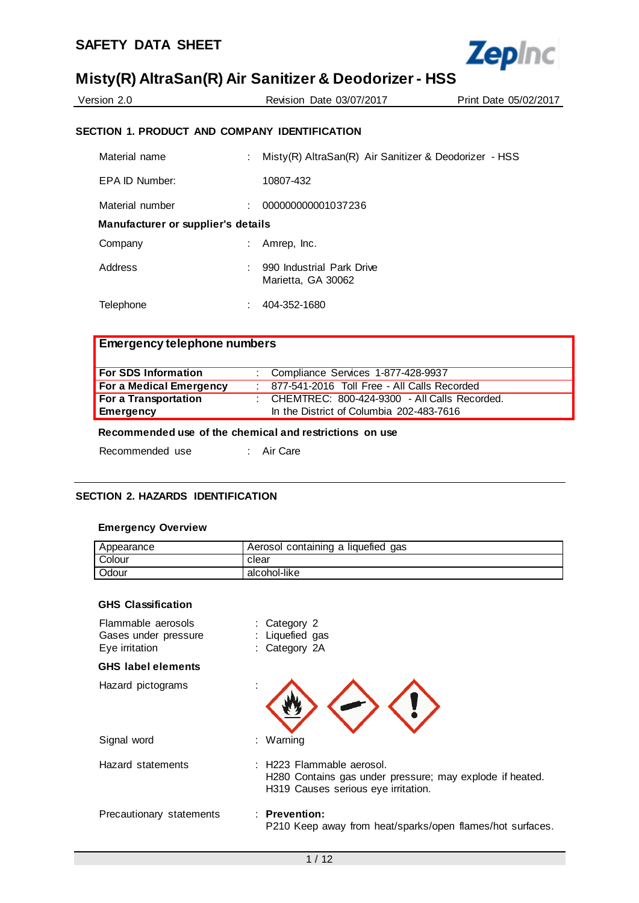

| Version 2.0 | Revision Date 03/07/2017                      | Print Date 05/02/2017 |
|-------------|-----------------------------------------------|-----------------------|
|             | SECTION 1. PRODUCT AND COMPANY IDENTIFICATION |                       |

| Material name                      | ÷. | Misty(R) AltraSan(R) Air Sanitizer & Deodorizer - HSS |
|------------------------------------|----|-------------------------------------------------------|
| EPA ID Number:                     |    | 10807-432                                             |
| Material number                    | ÷  | 000000000001037236                                    |
| Manufacturer or supplier's details |    |                                                       |
| Company                            | ÷  | Amrep, Inc.                                           |
| Address                            | ٠  | 990 Industrial Park Drive<br>Marietta, GA 30062       |
| Telephone                          |    | 404-352-1680                                          |

# **Emergency telephone numbers**

| <b>For SDS Information</b>     | : Compliance Services 1-877-428-9937             |
|--------------------------------|--------------------------------------------------|
| <b>For a Medical Emergency</b> | : 877-541-2016 Toll Free - All Calls Recorded    |
| For a Transportation           | : CHEMTREC: $800-424-9300$ - All Calls Recorded. |
| Emergency                      | In the District of Columbia 202-483-7616         |

### **Recommended use of the chemical and restrictions on use**

| Recommended use |  | Air Care |
|-----------------|--|----------|
|                 |  |          |

### **SECTION 2. HAZARDS IDENTIFICATION**

#### **Emergency Overview**

| Appearance | Aerosol containing a liquefied gas |
|------------|------------------------------------|
| Colour     | clear                              |
| Odour      | alcohol-like                       |

#### **GHS Classification**

| Flammable aerosols<br>Gases under pressure<br>Eye irritation | : Category 2<br>Liquefied gas<br>: Category 2A                                                                               |
|--------------------------------------------------------------|------------------------------------------------------------------------------------------------------------------------------|
| <b>GHS</b> label elements                                    |                                                                                                                              |
| Hazard pictograms                                            |                                                                                                                              |
| Signal word                                                  | : Warning                                                                                                                    |
| Hazard statements                                            | : H223 Flammable aerosol.<br>H280 Contains gas under pressure; may explode if heated.<br>H319 Causes serious eye irritation. |
| Precautionary statements                                     | $:$ Prevention:<br>P210 Keep away from heat/sparks/open flames/hot surfaces.                                                 |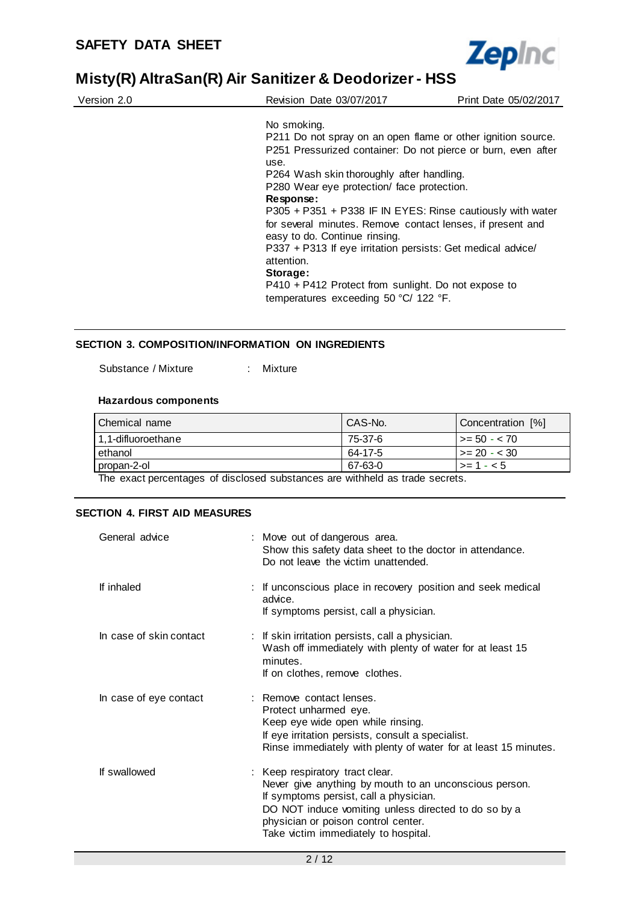

| Version 2.0 | Revision Date 03/07/2017                                                                    | Print Date 05/02/2017 |
|-------------|---------------------------------------------------------------------------------------------|-----------------------|
|             | No smoking.                                                                                 |                       |
|             | P211 Do not spray on an open flame or other ignition source.                                |                       |
|             | P251 Pressurized container: Do not pierce or burn, even after<br>use.                       |                       |
|             | P264 Wash skin thoroughly after handling.                                                   |                       |
|             | P280 Wear eye protection/ face protection.                                                  |                       |
|             | Response:                                                                                   |                       |
|             | P305 + P351 + P338 IF IN EYES: Rinse cautiously with water                                  |                       |
|             | for several minutes. Remove contact lenses, if present and<br>easy to do. Continue rinsing. |                       |
|             | P337 + P313 If eye irritation persists: Get medical advice/<br>attention.                   |                       |
|             | Storage:                                                                                    |                       |
|             | P410 + P412 Protect from sunlight. Do not expose to                                         |                       |
|             | temperatures exceeding 50 °C/ 122 °F.                                                       |                       |

#### **SECTION 3. COMPOSITION/INFORMATION ON INGREDIENTS**

Substance / Mixture : Mixture

#### **Hazardous components**

| Chemical name      | CAS-No. | Concentration [%]    |
|--------------------|---------|----------------------|
| 1,1-difluoroethane | 75-37-6 | $\vert$ >= 50 - < 70 |
| ethanol            | 64-17-5 | $\vert$ >= 20 - < 30 |
| propan-2-ol        | 67-63-0 | $\vert$ >= 1 - < 5   |

The exact percentages of disclosed substances are withheld as trade secrets.

### **SECTION 4. FIRST AID MEASURES**

| General advice          | : Move out of dangerous area.<br>Show this safety data sheet to the doctor in attendance.<br>Do not leave the victim unattended.                                                                                                                                           |
|-------------------------|----------------------------------------------------------------------------------------------------------------------------------------------------------------------------------------------------------------------------------------------------------------------------|
| If inhaled              | : If unconscious place in recovery position and seek medical<br>advice.<br>If symptoms persist, call a physician.                                                                                                                                                          |
| In case of skin contact | : If skin irritation persists, call a physician.<br>Wash off immediately with plenty of water for at least 15<br>minutes.<br>If on clothes, remove clothes.                                                                                                                |
| In case of eye contact  | : Remove contact lenses.<br>Protect unharmed eye.<br>Keep eye wide open while rinsing.<br>If eye irritation persists, consult a specialist.<br>Rinse immediately with plenty of water for at least 15 minutes.                                                             |
| If swallowed            | : Keep respiratory tract clear.<br>Never give anything by mouth to an unconscious person.<br>If symptoms persist, call a physician.<br>DO NOT induce vomiting unless directed to do so by a<br>physician or poison control center.<br>Take victim immediately to hospital. |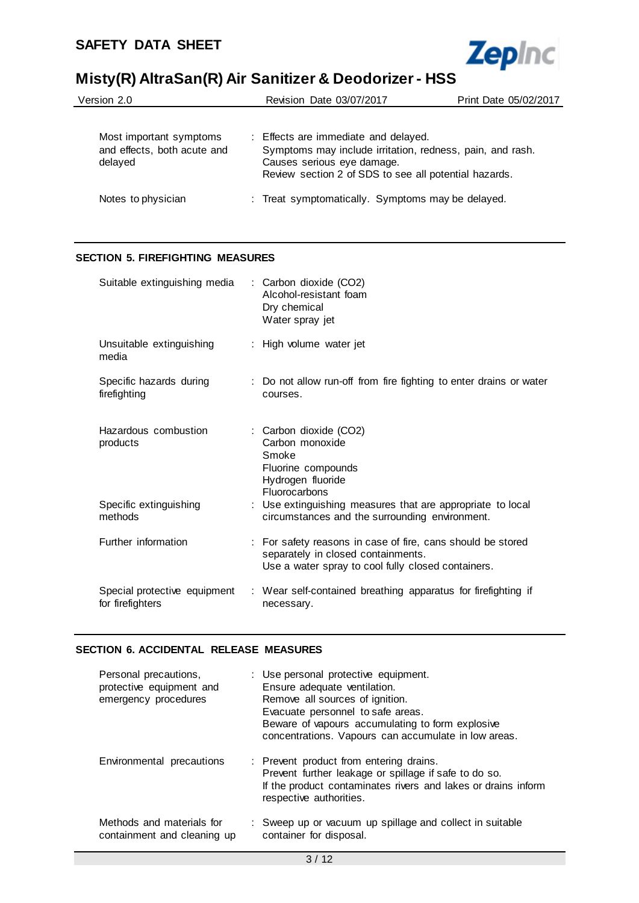

| Version 2.0                                                       | Revision Date 03/07/2017                                                                                                                                                                 | Print Date 05/02/2017 |
|-------------------------------------------------------------------|------------------------------------------------------------------------------------------------------------------------------------------------------------------------------------------|-----------------------|
| Most important symptoms<br>and effects, both acute and<br>delayed | : Effects are immediate and delayed.<br>Symptoms may include irritation, redness, pain, and rash.<br>Causes serious eye damage.<br>Review section 2 of SDS to see all potential hazards. |                       |
| Notes to physician                                                | : Treat symptomatically. Symptoms may be delayed.                                                                                                                                        |                       |

### **SECTION 5. FIREFIGHTING MEASURES**

| Suitable extinguishing media                     | : Carbon dioxide (CO2)<br>Alcohol-resistant foam<br>Dry chemical<br>Water spray jet                                                                     |
|--------------------------------------------------|---------------------------------------------------------------------------------------------------------------------------------------------------------|
| Unsuitable extinguishing<br>media                | : High volume water jet                                                                                                                                 |
| Specific hazards during<br>firefighting          | : Do not allow run-off from fire fighting to enter drains or water<br>courses.                                                                          |
| Hazardous combustion<br>products                 | : Carbon dioxide (CO2)<br>Carbon monoxide<br>Smoke<br>Fluorine compounds<br>Hydrogen fluoride<br>Fluorocarbons                                          |
| Specific extinguishing<br>methods                | : Use extinguishing measures that are appropriate to local<br>circumstances and the surrounding environment.                                            |
| Further information                              | : For safety reasons in case of fire, cans should be stored<br>separately in closed containments.<br>Use a water spray to cool fully closed containers. |
| Special protective equipment<br>for firefighters | : Wear self-contained breathing apparatus for firefighting if<br>necessary.                                                                             |

### **SECTION 6. ACCIDENTAL RELEASE MEASURES**

| Personal precautions,<br>protective equipment and<br>emergency procedures | : Use personal protective equipment.<br>Ensure adequate ventilation.<br>Remove all sources of ignition.<br>Evacuate personnel to safe areas.<br>Beware of vapours accumulating to form explosive<br>concentrations. Vapours can accumulate in low areas. |
|---------------------------------------------------------------------------|----------------------------------------------------------------------------------------------------------------------------------------------------------------------------------------------------------------------------------------------------------|
| Environmental precautions                                                 | : Prevent product from entering drains.<br>Prevent further leakage or spillage if safe to do so.<br>If the product contaminates rivers and lakes or drains inform<br>respective authorities.                                                             |
| Methods and materials for<br>containment and cleaning up                  | : Sweep up or vacuum up spillage and collect in suitable<br>container for disposal.                                                                                                                                                                      |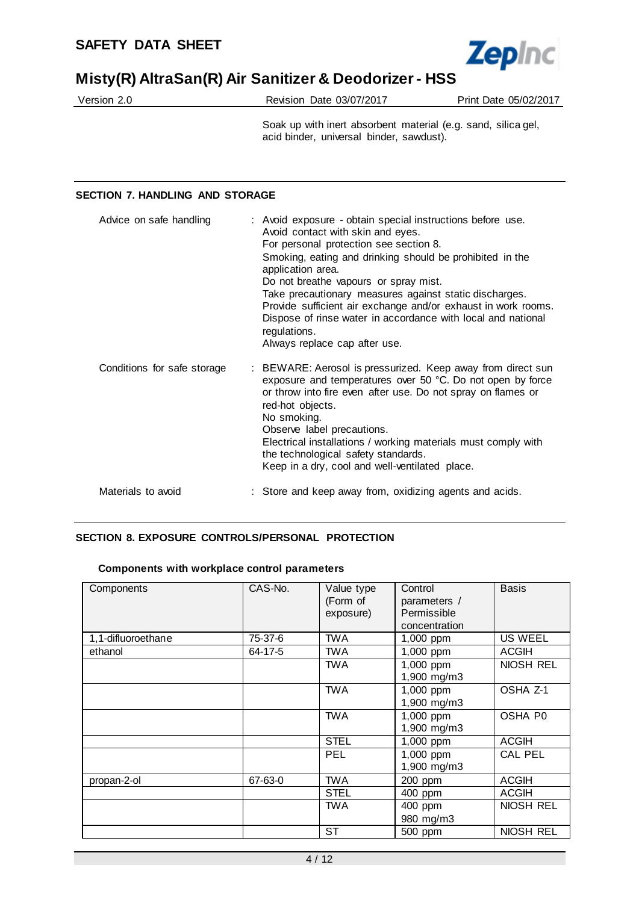

| Version 2.0 | Revision Date 03/07/2017 | Print Date 05/02/2017 |
|-------------|--------------------------|-----------------------|
|             |                          |                       |

Soak up with inert absorbent material (e.g. sand, silica gel, acid binder, universal binder, sawdust).

### **SECTION 7. HANDLING AND STORAGE**

| Advice on safe handling     | : Avoid exposure - obtain special instructions before use.<br>Avoid contact with skin and eyes.<br>For personal protection see section 8.<br>Smoking, eating and drinking should be prohibited in the<br>application area.<br>Do not breathe vapours or spray mist.<br>Take precautionary measures against static discharges.<br>Provide sufficient air exchange and/or exhaust in work rooms.<br>Dispose of rinse water in accordance with local and national<br>regulations.<br>Always replace cap after use. |
|-----------------------------|-----------------------------------------------------------------------------------------------------------------------------------------------------------------------------------------------------------------------------------------------------------------------------------------------------------------------------------------------------------------------------------------------------------------------------------------------------------------------------------------------------------------|
| Conditions for safe storage | : BEWARE: Aerosol is pressurized. Keep away from direct sun<br>exposure and temperatures over 50 °C. Do not open by force<br>or throw into fire even after use. Do not spray on flames or<br>red-hot objects.<br>No smoking.<br>Observe label precautions.<br>Electrical installations / working materials must comply with<br>the technological safety standards.<br>Keep in a dry, cool and well-ventilated place.                                                                                            |
| Materials to avoid          | : Store and keep away from, oxidizing agents and acids.                                                                                                                                                                                                                                                                                                                                                                                                                                                         |

## **SECTION 8. EXPOSURE CONTROLS/PERSONAL PROTECTION**

### **Components with workplace control parameters**

| Components         | CAS-No. | Value type<br>(Form of<br>exposure) | Control<br>parameters /<br>Permissible<br>concentration | <b>Basis</b>   |
|--------------------|---------|-------------------------------------|---------------------------------------------------------|----------------|
| 1,1-difluoroethane | 75-37-6 | <b>TWA</b>                          | 1,000 ppm                                               | US WEEL        |
| ethanol            | 64-17-5 | TWA                                 | 1,000 ppm                                               | ACGIH          |
|                    |         | <b>TWA</b>                          | 1,000 ppm<br>1,900 mg/m3                                | NIOSH REL      |
|                    |         | <b>TWA</b>                          | 1,000 ppm<br>1,900 mg/m3                                | OSHA Z-1       |
|                    |         | <b>TWA</b>                          | 1,000 ppm<br>1,900 mg/m3                                | <b>OSHA P0</b> |
|                    |         | <b>STEL</b>                         | 1,000 ppm                                               | <b>ACGIH</b>   |
|                    |         | PEL                                 | 1,000 ppm<br>1,900 mg/m3                                | <b>CAL PEL</b> |
| propan-2-ol        | 67-63-0 | <b>TWA</b>                          | 200 ppm                                                 | <b>ACGIH</b>   |
|                    |         | <b>STEL</b>                         | 400 ppm                                                 | <b>ACGIH</b>   |
|                    |         | TWA                                 | 400 ppm<br>980 mg/m3                                    | NIOSH REL      |
|                    |         | ST                                  | 500 ppm                                                 | NIOSH REL      |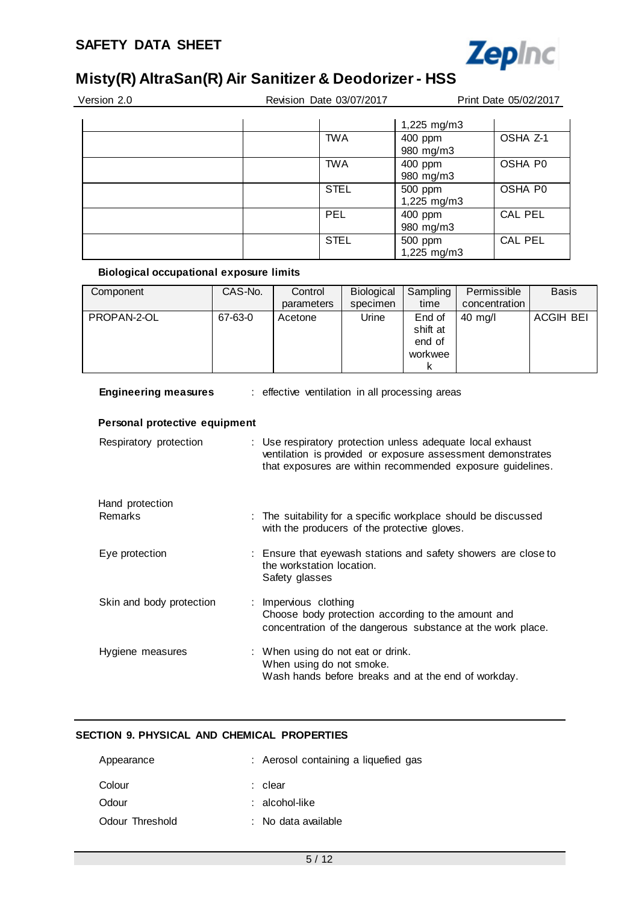

| Version 2.0 | Revision Date 03/07/2017 |                          | Print Date 05/02/2017 |
|-------------|--------------------------|--------------------------|-----------------------|
|             |                          | 1,225 mg/m3              |                       |
|             | <b>TWA</b>               | 400 ppm<br>980 mg/m3     | OSHA Z-1              |
|             | <b>TWA</b>               | 400 ppm<br>980 mg/m3     | OSHA P0               |
|             | <b>STEL</b>              | 500 ppm<br>$1,225$ mg/m3 | OSHA P0               |
|             | <b>PEL</b>               | 400 ppm<br>980 mg/m3     | CAL PEL               |
|             | <b>STEL</b>              | 500 ppm<br>1,225 mg/m3   | CAL PEL               |

### **Biological occupational exposure limits**

| Component   | CAS-No. | Control<br>parameters | Biological<br>specimen | Sampling<br>time                        | Permissible<br>concentration | <b>Basis</b> |
|-------------|---------|-----------------------|------------------------|-----------------------------------------|------------------------------|--------------|
| PROPAN-2-OL | 67-63-0 | Acetone               | Urine                  | End of<br>shift at<br>end of<br>workwee | $40 \text{ m}$ g/l           | ACGIH BEI    |

| <b>Engineering measures</b>   | : effective ventilation in all processing areas                                                                                                                                         |
|-------------------------------|-----------------------------------------------------------------------------------------------------------------------------------------------------------------------------------------|
| Personal protective equipment |                                                                                                                                                                                         |
| Respiratory protection        | : Use respiratory protection unless adequate local exhaust<br>ventilation is provided or exposure assessment demonstrates<br>that exposures are within recommended exposure guidelines. |
| Hand protection               |                                                                                                                                                                                         |
| <b>Remarks</b>                | : The suitability for a specific workplace should be discussed<br>with the producers of the protective gloves.                                                                          |
| Eye protection                | : Ensure that eyewash stations and safety showers are close to<br>the workstation location.<br>Safety glasses                                                                           |
| Skin and body protection      | : Impervious clothing<br>Choose body protection according to the amount and<br>concentration of the dangerous substance at the work place.                                              |
| Hygiene measures              | : When using do not eat or drink.<br>When using do not smoke.<br>Wash hands before breaks and at the end of workday.                                                                    |

# **SECTION 9. PHYSICAL AND CHEMICAL PROPERTIES**

| Appearance      | : Aerosol containing a liquefied gas |
|-----------------|--------------------------------------|
| Colour          | : clear                              |
| Odour           | $:$ alcohol-like                     |
| Odour Threshold | : No data available                  |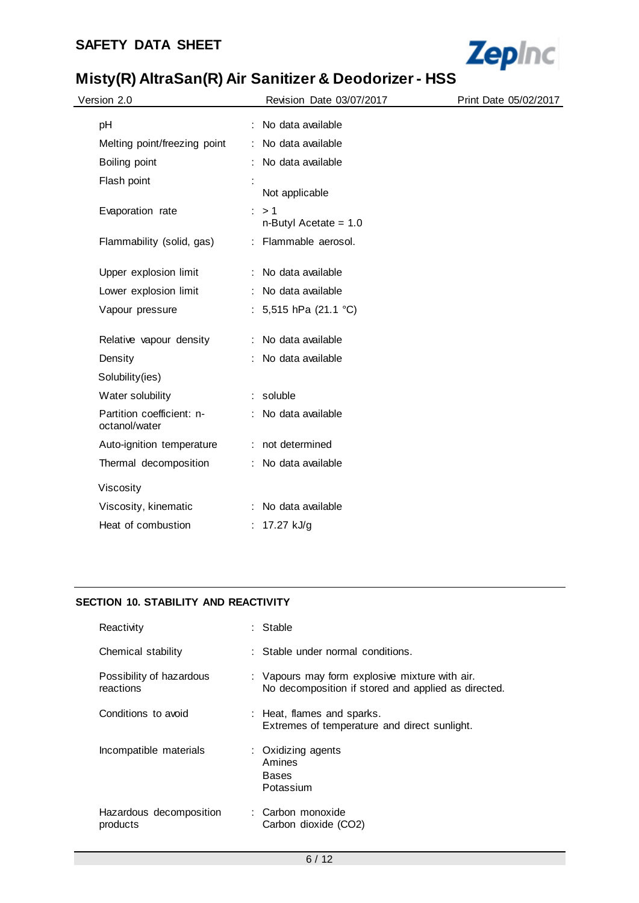

| Version 2.0                                | Revision Date 03/07/2017       | Print Date 05/02/2017 |
|--------------------------------------------|--------------------------------|-----------------------|
| pH                                         | No data available              |                       |
| Melting point/freezing point               | No data available              |                       |
| Boiling point                              | No data available              |                       |
| Flash point                                | Not applicable                 |                       |
| Evaporation rate                           | >1<br>$n$ -Butyl Acetate = 1.0 |                       |
| Flammability (solid, gas)                  | : Flammable aerosol.           |                       |
| Upper explosion limit                      | : No data available            |                       |
| Lower explosion limit                      | No data available              |                       |
| Vapour pressure                            | : 5,515 hPa (21.1 °C)          |                       |
| Relative vapour density                    | No data available              |                       |
| Density                                    | No data available              |                       |
| Solubility(ies)                            |                                |                       |
| Water solubility                           | : soluble                      |                       |
| Partition coefficient: n-<br>octanol/water | : No data available            |                       |
| Auto-ignition temperature                  | : not determined               |                       |
| Thermal decomposition                      | : No data available            |                       |
| Viscosity                                  |                                |                       |
| Viscosity, kinematic                       | : No data available            |                       |
| Heat of combustion                         | : $17.27$ kJ/g                 |                       |

## **SECTION 10. STABILITY AND REACTIVITY**

| Reactivity                            | : Stable                                                                                              |
|---------------------------------------|-------------------------------------------------------------------------------------------------------|
| Chemical stability                    | : Stable under normal conditions.                                                                     |
| Possibility of hazardous<br>reactions | : Vapours may form explosive mixture with air.<br>No decomposition if stored and applied as directed. |
| Conditions to avoid                   | : Heat, flames and sparks.<br>Extremes of temperature and direct sunlight.                            |
| Incompatible materials                | : Oxidizing agents<br>Amines<br>Bases<br>Potassium                                                    |
| Hazardous decomposition<br>products   | : Carbon monoxide<br>Carbon dioxide (CO2)                                                             |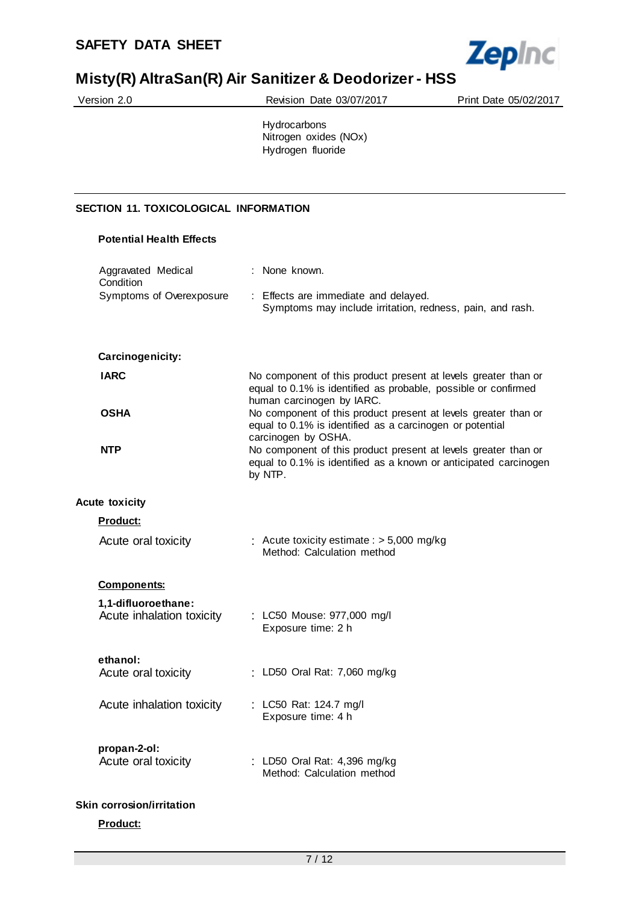

|                                              | <b>MISTYIT) AND ASSEMBLATED SHIPS AND STRAIGHT AND ASSEMBLANCE TO A PROPERTY AND ASSEMBLANCE TO A PROPERTY AND A</b>                                          |                       |  |  |
|----------------------------------------------|---------------------------------------------------------------------------------------------------------------------------------------------------------------|-----------------------|--|--|
| Version 2.0                                  | Revision Date 03/07/2017                                                                                                                                      | Print Date 05/02/2017 |  |  |
|                                              | Hydrocarbons<br>Nitrogen oxides (NOx)<br>Hydrogen fluoride                                                                                                    |                       |  |  |
|                                              |                                                                                                                                                               |                       |  |  |
| <b>SECTION 11. TOXICOLOGICAL INFORMATION</b> |                                                                                                                                                               |                       |  |  |
| <b>Potential Health Effects</b>              |                                                                                                                                                               |                       |  |  |
| Aggravated Medical<br>Condition              | : None known.                                                                                                                                                 |                       |  |  |
| Symptoms of Overexposure                     | : Effects are immediate and delayed.<br>Symptoms may include irritation, redness, pain, and rash.                                                             |                       |  |  |
| Carcinogenicity:                             |                                                                                                                                                               |                       |  |  |
| <b>IARC</b>                                  | No component of this product present at levels greater than or<br>equal to 0.1% is identified as probable, possible or confirmed<br>human carcinogen by IARC. |                       |  |  |
| <b>OSHA</b>                                  | No component of this product present at levels greater than or<br>equal to 0.1% is identified as a carcinogen or potential<br>carcinogen by OSHA.             |                       |  |  |

**NTP** No component of this product present at levels greater than or equal to 0.1% is identified as a known or anticipated carcinogen by NTP.

## **Acute toxicity**

|  |  | Product: |  |
|--|--|----------|--|
|  |  |          |  |

| Acute oral toxicity | : Acute toxicity estimate : $>$ 5,000 mg/kg |
|---------------------|---------------------------------------------|
|                     | Method: Calculation method                  |

#### **Components:**

| 1,1-difluoroethane:       | : LC50 Mouse: 977,000 mg/l |
|---------------------------|----------------------------|
| Acute inhalation toxicity | Exposure time: 2 h         |
| ethanol:                  |                            |

| Acute oral toxicity |  |  | : LD50 Oral Rat: 7,060 mg/kg |
|---------------------|--|--|------------------------------|
|                     |  |  |                              |

# **propan-2-ol:**

| Acute oral toxicity | : LD50 Oral Rat: 4,396 mg/kg |
|---------------------|------------------------------|
|                     | Method: Calculation method   |

### **Skin corrosion/irritation**

### **Product:**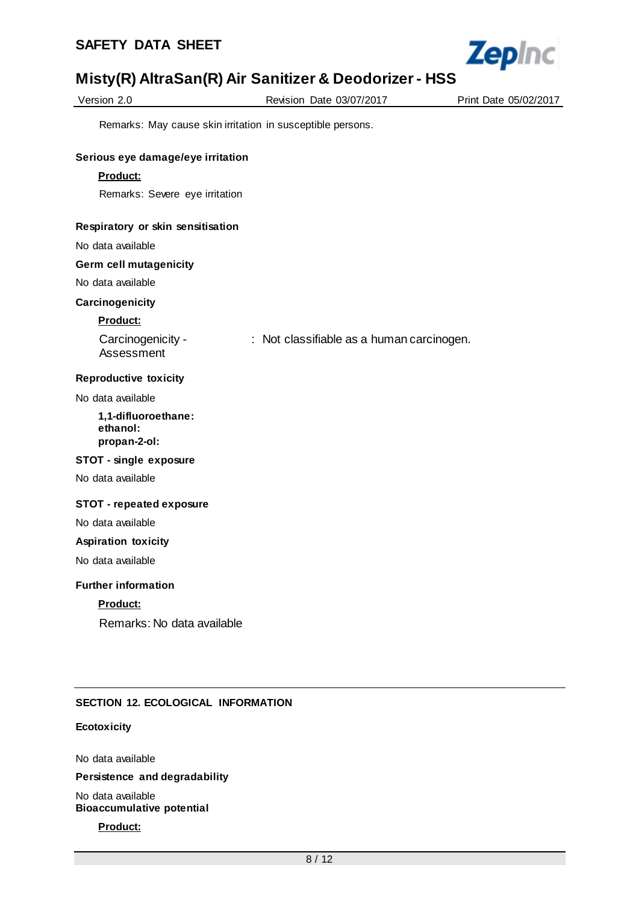

| Version 2.0 |
|-------------|
|-------------|

Revision Date 03/07/2017 Print Date 05/02/2017

Remarks: May cause skin irritation in susceptible persons.

#### **Serious eye damage/eye irritation**

#### **Product:**

Remarks: Severe eye irritation

#### **Respiratory or skin sensitisation**

No data available

#### **Germ cell mutagenicity**

No data available

#### **Carcinogenicity**

#### **Product:**

Carcinogenicity - Assessment : Not classifiable as a human carcinogen.

#### **Reproductive toxicity**

No data available

#### **1,1-difluoroethane: ethanol: propan-2-ol:**

### **STOT - single exposure**

No data available

#### **STOT - repeated exposure**

No data available

#### **Aspiration toxicity**

No data available

### **Further information**

### **Product:**

Remarks: No data available

### **SECTION 12. ECOLOGICAL INFORMATION**

#### **Ecotoxicity**

No data available

#### **Persistence and degradability**

No data available **Bioaccumulative potential**

**Product:**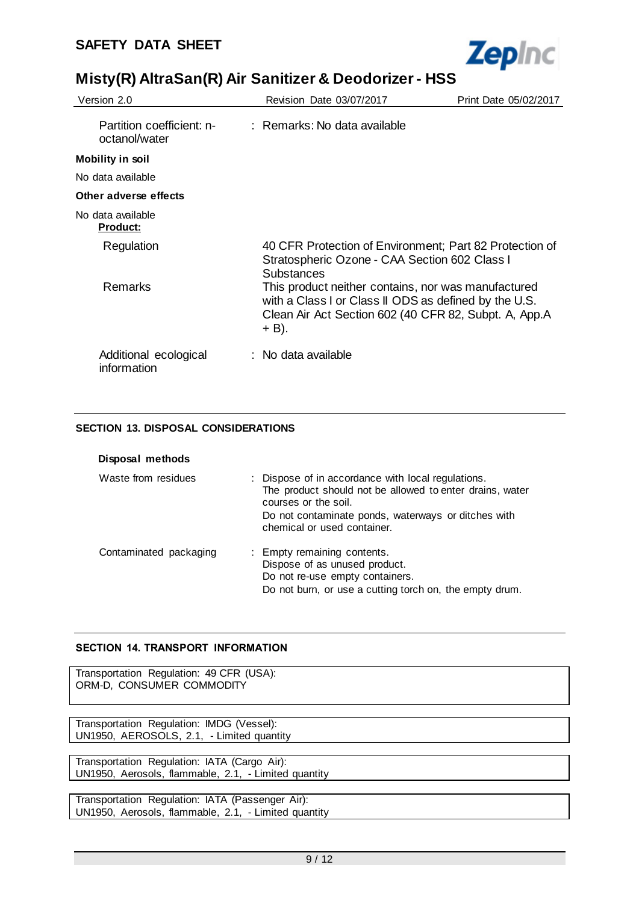

| Version 2.0                                | Revision Date 03/07/2017                                                                                                                                                       | Print Date 05/02/2017 |
|--------------------------------------------|--------------------------------------------------------------------------------------------------------------------------------------------------------------------------------|-----------------------|
| Partition coefficient: n-<br>octanol/water | : Remarks: No data available                                                                                                                                                   |                       |
| <b>Mobility in soil</b>                    |                                                                                                                                                                                |                       |
| No data available                          |                                                                                                                                                                                |                       |
| Other adverse effects                      |                                                                                                                                                                                |                       |
| No data available<br><u>Product:</u>       |                                                                                                                                                                                |                       |
| Regulation                                 | 40 CFR Protection of Environment; Part 82 Protection of<br>Stratospheric Ozone - CAA Section 602 Class I<br>Substances                                                         |                       |
| Remarks                                    | This product neither contains, nor was manufactured<br>with a Class I or Class II ODS as defined by the U.S.<br>Clean Air Act Section 602 (40 CFR 82, Subpt. A, App.A<br>+ B). |                       |
| Additional ecological<br>information       | : No data available                                                                                                                                                            |                       |

## **SECTION 13. DISPOSAL CONSIDERATIONS**

| Disposal methods       |                                                                                                                                                                                                                              |
|------------------------|------------------------------------------------------------------------------------------------------------------------------------------------------------------------------------------------------------------------------|
| Waste from residues    | : Dispose of in accordance with local regulations.<br>The product should not be allowed to enter drains, water<br>courses or the soil.<br>Do not contaminate ponds, waterways or ditches with<br>chemical or used container. |
| Contaminated packaging | : Empty remaining contents.<br>Dispose of as unused product.<br>Do not re-use empty containers.<br>Do not burn, or use a cutting torch on, the empty drum.                                                                   |

## **SECTION 14. TRANSPORT INFORMATION**

UN1950, AEROSOLS, 2.1, - Limited quantity

Transportation Regulation: 49 CFR (USA): ORM-D, CONSUMER COMMODITY Transportation Regulation: IMDG (Vessel):

Transportation Regulation: IATA (Cargo Air): UN1950, Aerosols, flammable, 2.1, - Limited quantity

Transportation Regulation: IATA (Passenger Air): UN1950, Aerosols, flammable, 2.1, - Limited quantity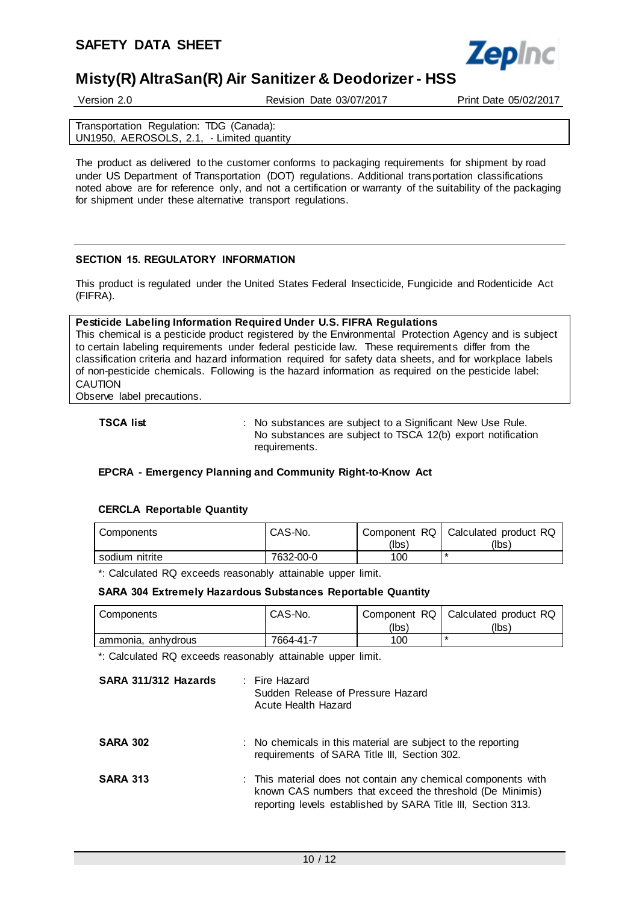

Version 2.0 Revision Date 03/07/2017 Print Date 05/02/2017

Transportation Regulation: TDG (Canada): UN1950, AEROSOLS, 2.1, - Limited quantity

The product as delivered to the customer conforms to packaging requirements for shipment by road under US Department of Transportation (DOT) regulations. Additional transportation classifications noted above are for reference only, and not a certification or warranty of the suitability of the packaging for shipment under these alternative transport regulations.

### **SECTION 15. REGULATORY INFORMATION**

This product is regulated under the United States Federal Insecticide, Fungicide and Rodenticide Act (FIFRA).

#### **Pesticide Labeling Information Required Under U.S. FIFRA Regulations**

This chemical is a pesticide product registered by the Environmental Protection Agency and is subject to certain labeling requirements under federal pesticide law. These requirements differ from the classification criteria and hazard information required for safety data sheets, and for workplace labels of non-pesticide chemicals. Following is the hazard information as required on the pesticide label: CAUTION

Observe label precautions.

**TSCA list interpretatally** : No substances are subject to a Significant New Use Rule. No substances are subject to TSCA 12(b) export notification requirements.

### **EPCRA - Emergency Planning and Community Right-to-Know Act**

#### **CERCLA Reportable Quantity**

| Components     | CAS-No.   | Component RQ  <br>(lbs) | Calculated product RQ<br>(Ibs) |
|----------------|-----------|-------------------------|--------------------------------|
| sodium nitrite | 7632-00-0 | 100                     |                                |

\*: Calculated RQ exceeds reasonably attainable upper limit.

#### **SARA 304 Extremely Hazardous Substances Reportable Quantity**

| Components         | CAS-No.   |       | Component RQ   Calculated product RQ |
|--------------------|-----------|-------|--------------------------------------|
|                    |           | (lbs` | (lbs)                                |
| ammonia, anhydrous | 7664-41-7 | 100   |                                      |

\*: Calculated RQ exceeds reasonably attainable upper limit.

| SARA 311/312 Hazards | : Fire Hazard<br>Sudden Release of Pressure Hazard<br>Acute Health Hazard                                                                                                                 |
|----------------------|-------------------------------------------------------------------------------------------------------------------------------------------------------------------------------------------|
| <b>SARA 302</b>      | : No chemicals in this material are subject to the reporting<br>requirements of SARA Title III, Section 302.                                                                              |
| <b>SARA 313</b>      | : This material does not contain any chemical components with<br>known CAS numbers that exceed the threshold (De Minimis)<br>reporting levels established by SARA Title III, Section 313. |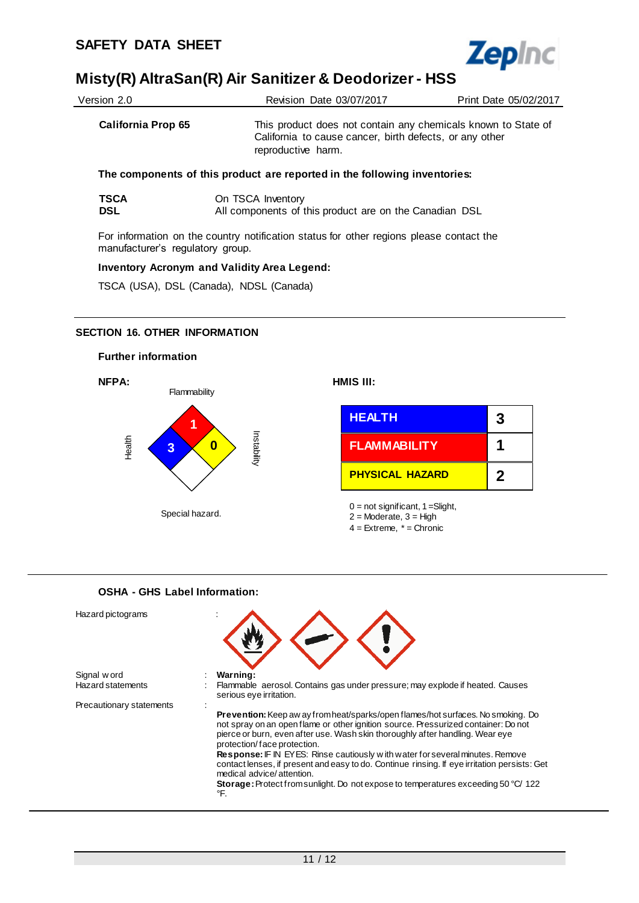

| Version 2.0               | Revision Date 03/07/2017                                                                                                                       | Print Date 05/02/2017 |
|---------------------------|------------------------------------------------------------------------------------------------------------------------------------------------|-----------------------|
| <b>California Prop 65</b> | This product does not contain any chemicals known to State of<br>California to cause cancer, birth defects, or any other<br>reproductive harm. |                       |
|                           | The components of this product are reported in the following inventories:                                                                      |                       |
| ᅚᅂᄼᄾ                      | $\bigcap_{n}$ TC $\bigcap_{n}$ Invantant                                                                                                       |                       |

| <b>TSCA</b> | On TSCA Inventory                                      |
|-------------|--------------------------------------------------------|
| <b>DSL</b>  | All components of this product are on the Canadian DSL |

For information on the country notification status for other regions please contact the manufacturer's regulatory group.

#### **Inventory Acronym and Validity Area Legend:**

TSCA (USA), DSL (Canada), NDSL (Canada)

### **SECTION 16. OTHER INFORMATION**



# **OSHA - GHS Label Information:** Hazard pictograms : Signal w ord **: Warning:**<br>
Hazard statements : Flammable : Flammable aerosol. Contains gas under pressure; may explode if heated. Causes serious eye irritation. Precautionary statements : **Prevention:** Keep aw ay from heat/sparks/open flames/hot surfaces. No smoking. Do not spray on an open flame or other ignition source. Pressurized container: Do not pierce or burn, even after use. Wash skin thoroughly after handling. Wear eye protection/ face protection. **Response:** IF IN EYES: Rinse cautiously w ith water for several minutes. Remove contact lenses, if present and easy to do. Continue rinsing. If eye irritation persists: Get medical advice/ attention. **Storage:** Protect from sunlight. Do not expose to temperatures exceeding 50 °C/ 122 °F.